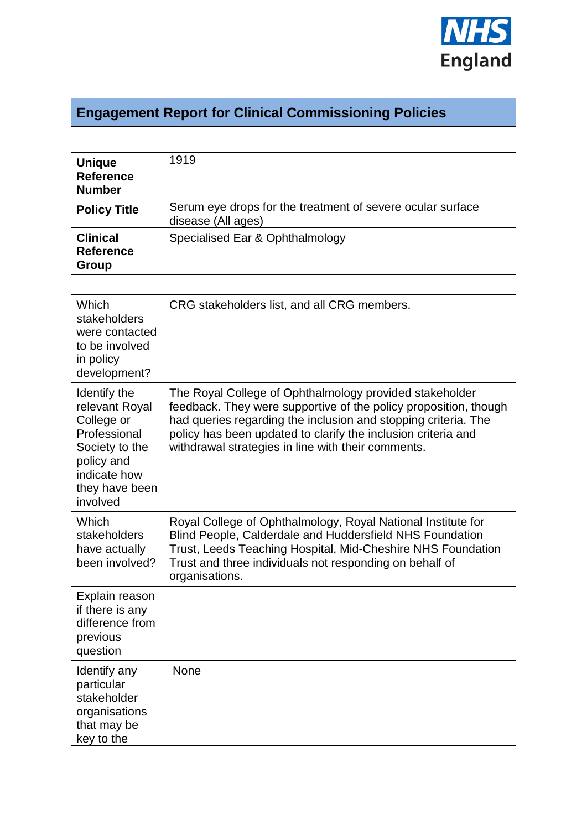

## **Engagement Report for Clinical Commissioning Policies**

| <b>Unique</b><br><b>Reference</b><br><b>Number</b>                                                                                         | 1919                                                                                                                                                                                                                                                                                                                 |  |
|--------------------------------------------------------------------------------------------------------------------------------------------|----------------------------------------------------------------------------------------------------------------------------------------------------------------------------------------------------------------------------------------------------------------------------------------------------------------------|--|
| <b>Policy Title</b>                                                                                                                        | Serum eye drops for the treatment of severe ocular surface<br>disease (All ages)                                                                                                                                                                                                                                     |  |
| <b>Clinical</b><br><b>Reference</b><br>Group                                                                                               | Specialised Ear & Ophthalmology                                                                                                                                                                                                                                                                                      |  |
|                                                                                                                                            |                                                                                                                                                                                                                                                                                                                      |  |
| Which<br>stakeholders<br>were contacted<br>to be involved<br>in policy<br>development?                                                     | CRG stakeholders list, and all CRG members.                                                                                                                                                                                                                                                                          |  |
| Identify the<br>relevant Royal<br>College or<br>Professional<br>Society to the<br>policy and<br>indicate how<br>they have been<br>involved | The Royal College of Ophthalmology provided stakeholder<br>feedback. They were supportive of the policy proposition, though<br>had queries regarding the inclusion and stopping criteria. The<br>policy has been updated to clarify the inclusion criteria and<br>withdrawal strategies in line with their comments. |  |
| Which<br>stakeholders<br>have actually<br>been involved?                                                                                   | Royal College of Ophthalmology, Royal National Institute for<br>Blind People, Calderdale and Huddersfield NHS Foundation<br>Trust, Leeds Teaching Hospital, Mid-Cheshire NHS Foundation<br>Trust and three individuals not responding on behalf of<br>organisations.                                                 |  |
| Explain reason<br>if there is any<br>difference from<br>previous<br>question                                                               |                                                                                                                                                                                                                                                                                                                      |  |
| Identify any<br>particular<br>stakeholder<br>organisations<br>that may be<br>key to the                                                    | <b>None</b>                                                                                                                                                                                                                                                                                                          |  |